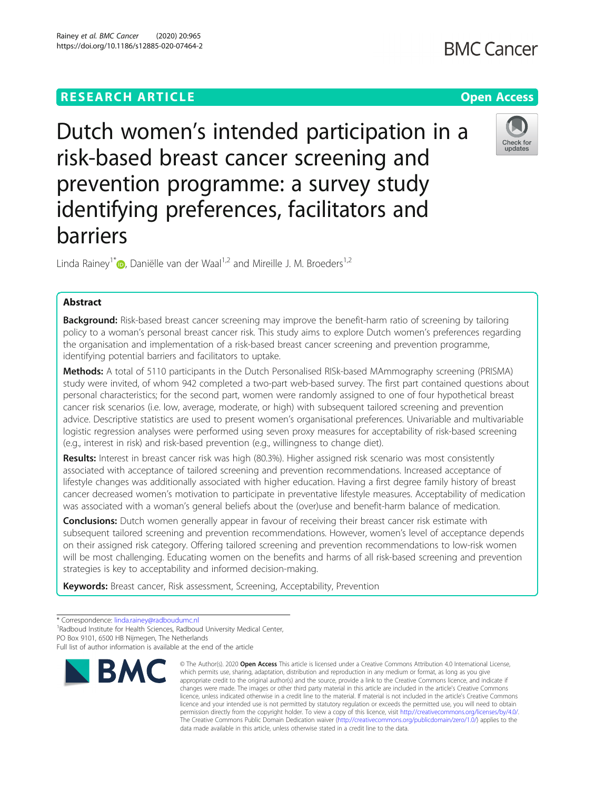# **RESEARCH ARTICLE Example 2014 12:30 The Open Access**

# Dutch women's intended participation in a risk-based breast cancer screening and prevention programme: a survey study identifying preferences, facilitators and barriers

Linda Rainey<sup>1\*</sup> D. Daniëlle van der Waal<sup>1,2</sup> and Mireille J. M. Broeders<sup>1,2</sup>

# Abstract

Background: Risk-based breast cancer screening may improve the benefit-harm ratio of screening by tailoring policy to a woman's personal breast cancer risk. This study aims to explore Dutch women's preferences regarding the organisation and implementation of a risk-based breast cancer screening and prevention programme, identifying potential barriers and facilitators to uptake.

Methods: A total of 5110 participants in the Dutch Personalised RISk-based MAmmography screening (PRISMA) study were invited, of whom 942 completed a two-part web-based survey. The first part contained questions about personal characteristics; for the second part, women were randomly assigned to one of four hypothetical breast cancer risk scenarios (i.e. low, average, moderate, or high) with subsequent tailored screening and prevention advice. Descriptive statistics are used to present women's organisational preferences. Univariable and multivariable logistic regression analyses were performed using seven proxy measures for acceptability of risk-based screening (e.g., interest in risk) and risk-based prevention (e.g., willingness to change diet).

Results: Interest in breast cancer risk was high (80.3%). Higher assigned risk scenario was most consistently associated with acceptance of tailored screening and prevention recommendations. Increased acceptance of lifestyle changes was additionally associated with higher education. Having a first degree family history of breast cancer decreased women's motivation to participate in preventative lifestyle measures. Acceptability of medication was associated with a woman's general beliefs about the (over)use and benefit-harm balance of medication.

**Conclusions:** Dutch women generally appear in favour of receiving their breast cancer risk estimate with subsequent tailored screening and prevention recommendations. However, women's level of acceptance depends on their assigned risk category. Offering tailored screening and prevention recommendations to low-risk women will be most challenging. Educating women on the benefits and harms of all risk-based screening and prevention strategies is key to acceptability and informed decision-making.

Keywords: Breast cancer, Risk assessment, Screening, Acceptability, Prevention

\* Correspondence: [linda.rainey@radboudumc.nl](mailto:linda.rainey@radboudumc.nl) <sup>1</sup>

<sup>1</sup>Radboud Institute for Health Sciences, Radboud University Medical Center,

**BMC** 

https://doi.org/10.1186/s12885-020-07464-2

data made available in this article, unless otherwise stated in a credit line to the data.

© The Author(s), 2020 **Open Access** This article is licensed under a Creative Commons Attribution 4.0 International License, which permits use, sharing, adaptation, distribution and reproduction in any medium or format, as long as you give

The Creative Commons Public Domain Dedication waiver [\(http://creativecommons.org/publicdomain/zero/1.0/](http://creativecommons.org/publicdomain/zero/1.0/)) applies to the





PO Box 9101, 6500 HB Nijmegen, The Netherlands

Full list of author information is available at the end of the article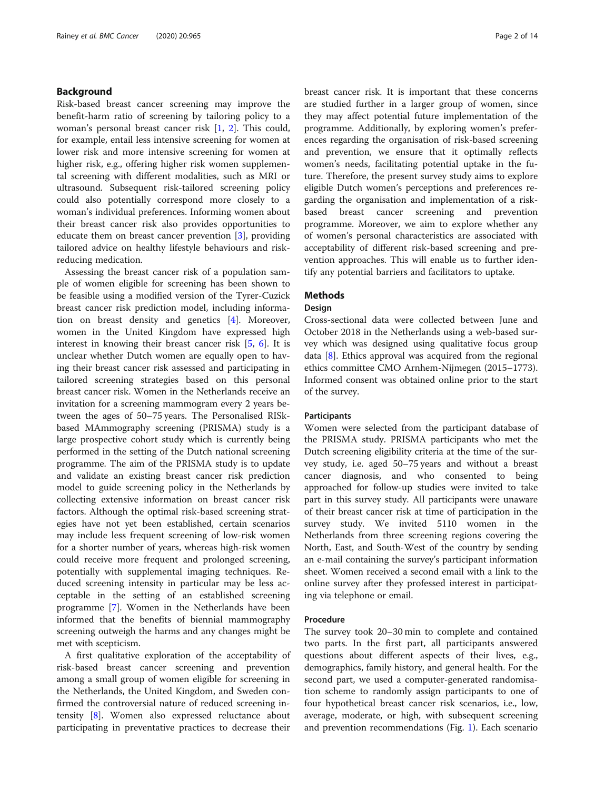# Background

Risk-based breast cancer screening may improve the benefit-harm ratio of screening by tailoring policy to a woman's personal breast cancer risk [[1](#page-12-0), [2\]](#page-12-0). This could, for example, entail less intensive screening for women at lower risk and more intensive screening for women at higher risk, e.g., offering higher risk women supplemental screening with different modalities, such as MRI or ultrasound. Subsequent risk-tailored screening policy could also potentially correspond more closely to a woman's individual preferences. Informing women about their breast cancer risk also provides opportunities to educate them on breast cancer prevention [[3\]](#page-12-0), providing tailored advice on healthy lifestyle behaviours and riskreducing medication.

Assessing the breast cancer risk of a population sample of women eligible for screening has been shown to be feasible using a modified version of the Tyrer-Cuzick breast cancer risk prediction model, including information on breast density and genetics [\[4\]](#page-12-0). Moreover, women in the United Kingdom have expressed high interest in knowing their breast cancer risk [[5,](#page-12-0) [6](#page-12-0)]. It is unclear whether Dutch women are equally open to having their breast cancer risk assessed and participating in tailored screening strategies based on this personal breast cancer risk. Women in the Netherlands receive an invitation for a screening mammogram every 2 years between the ages of 50–75 years. The Personalised RISkbased MAmmography screening (PRISMA) study is a large prospective cohort study which is currently being performed in the setting of the Dutch national screening programme. The aim of the PRISMA study is to update and validate an existing breast cancer risk prediction model to guide screening policy in the Netherlands by collecting extensive information on breast cancer risk factors. Although the optimal risk-based screening strategies have not yet been established, certain scenarios may include less frequent screening of low-risk women for a shorter number of years, whereas high-risk women could receive more frequent and prolonged screening, potentially with supplemental imaging techniques. Reduced screening intensity in particular may be less acceptable in the setting of an established screening programme [[7\]](#page-12-0). Women in the Netherlands have been informed that the benefits of biennial mammography screening outweigh the harms and any changes might be met with scepticism.

A first qualitative exploration of the acceptability of risk-based breast cancer screening and prevention among a small group of women eligible for screening in the Netherlands, the United Kingdom, and Sweden confirmed the controversial nature of reduced screening intensity [\[8](#page-12-0)]. Women also expressed reluctance about participating in preventative practices to decrease their breast cancer risk. It is important that these concerns are studied further in a larger group of women, since they may affect potential future implementation of the programme. Additionally, by exploring women's preferences regarding the organisation of risk-based screening and prevention, we ensure that it optimally reflects women's needs, facilitating potential uptake in the future. Therefore, the present survey study aims to explore eligible Dutch women's perceptions and preferences regarding the organisation and implementation of a riskbased breast cancer screening and prevention programme. Moreover, we aim to explore whether any of women's personal characteristics are associated with acceptability of different risk-based screening and prevention approaches. This will enable us to further identify any potential barriers and facilitators to uptake.

# **Methods**

# **Design**

Cross-sectional data were collected between June and October 2018 in the Netherlands using a web-based survey which was designed using qualitative focus group data [[8](#page-12-0)]. Ethics approval was acquired from the regional ethics committee CMO Arnhem-Nijmegen (2015–1773). Informed consent was obtained online prior to the start of the survey.

# **Participants**

Women were selected from the participant database of the PRISMA study. PRISMA participants who met the Dutch screening eligibility criteria at the time of the survey study, i.e. aged 50–75 years and without a breast cancer diagnosis, and who consented to being approached for follow-up studies were invited to take part in this survey study. All participants were unaware of their breast cancer risk at time of participation in the survey study. We invited 5110 women in the Netherlands from three screening regions covering the North, East, and South-West of the country by sending an e-mail containing the survey's participant information sheet. Women received a second email with a link to the online survey after they professed interest in participating via telephone or email.

# Procedure

The survey took 20–30 min to complete and contained two parts. In the first part, all participants answered questions about different aspects of their lives, e.g., demographics, family history, and general health. For the second part, we used a computer-generated randomisation scheme to randomly assign participants to one of four hypothetical breast cancer risk scenarios, i.e., low, average, moderate, or high, with subsequent screening and prevention recommendations (Fig. [1](#page-2-0)). Each scenario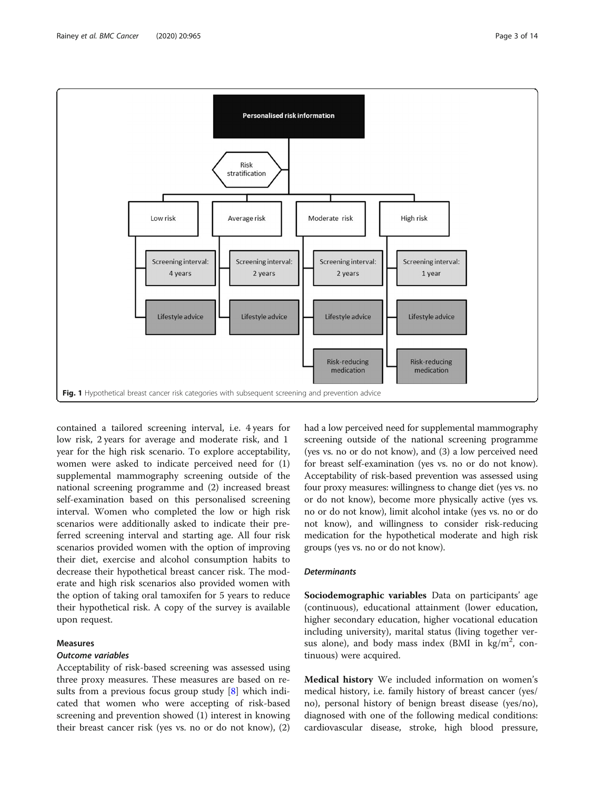contained a tailored screening interval, i.e. 4 years for low risk, 2 years for average and moderate risk, and 1 year for the high risk scenario. To explore acceptability, women were asked to indicate perceived need for (1) supplemental mammography screening outside of the national screening programme and (2) increased breast self-examination based on this personalised screening interval. Women who completed the low or high risk scenarios were additionally asked to indicate their preferred screening interval and starting age. All four risk scenarios provided women with the option of improving their diet, exercise and alcohol consumption habits to decrease their hypothetical breast cancer risk. The moderate and high risk scenarios also provided women with the option of taking oral tamoxifen for 5 years to reduce their hypothetical risk. A copy of the survey is available upon request.

### Measures

# Outcome variables

Acceptability of risk-based screening was assessed using three proxy measures. These measures are based on results from a previous focus group study [\[8](#page-12-0)] which indicated that women who were accepting of risk-based screening and prevention showed (1) interest in knowing their breast cancer risk (yes vs. no or do not know), (2)

had a low perceived need for supplemental mammography screening outside of the national screening programme (yes vs. no or do not know), and (3) a low perceived need for breast self-examination (yes vs. no or do not know). Acceptability of risk-based prevention was assessed using four proxy measures: willingness to change diet (yes vs. no or do not know), become more physically active (yes vs. no or do not know), limit alcohol intake (yes vs. no or do not know), and willingness to consider risk-reducing medication for the hypothetical moderate and high risk groups (yes vs. no or do not know).

# **Determinants**

Sociodemographic variables Data on participants' age (continuous), educational attainment (lower education, higher secondary education, higher vocational education including university), marital status (living together versus alone), and body mass index (BMI in  $\text{kg/m}^2$ , continuous) were acquired.

Medical history We included information on women's medical history, i.e. family history of breast cancer (yes/ no), personal history of benign breast disease (yes/no), diagnosed with one of the following medical conditions: cardiovascular disease, stroke, high blood pressure,

<span id="page-2-0"></span>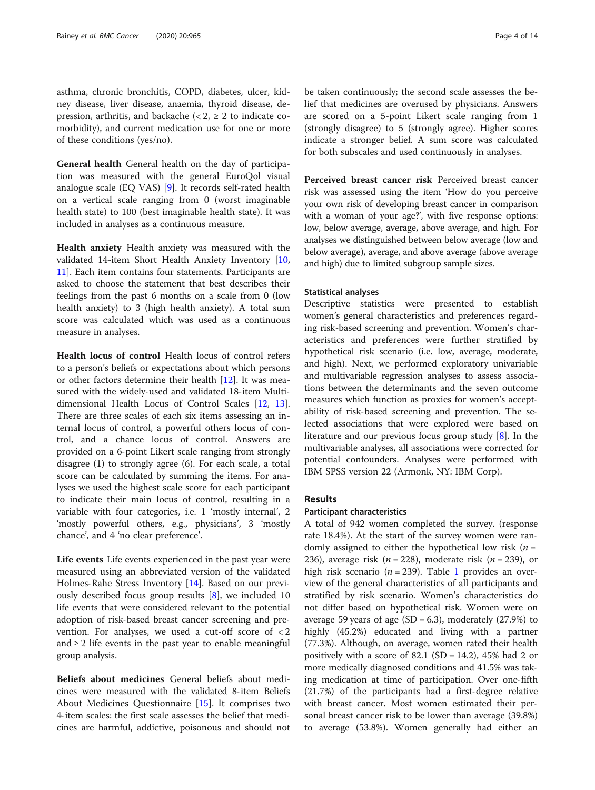asthma, chronic bronchitis, COPD, diabetes, ulcer, kidney disease, liver disease, anaemia, thyroid disease, depression, arthritis, and backache  $\langle \langle 2 \rangle \rangle$  2 to indicate comorbidity), and current medication use for one or more of these conditions (yes/no).

General health General health on the day of participation was measured with the general EuroQol visual analogue scale (EQ VAS) [\[9](#page-12-0)]. It records self-rated health on a vertical scale ranging from 0 (worst imaginable health state) to 100 (best imaginable health state). It was included in analyses as a continuous measure.

Health anxiety Health anxiety was measured with the validated 14-item Short Health Anxiety Inventory [[10](#page-12-0), [11\]](#page-12-0). Each item contains four statements. Participants are asked to choose the statement that best describes their feelings from the past 6 months on a scale from 0 (low health anxiety) to 3 (high health anxiety). A total sum score was calculated which was used as a continuous measure in analyses.

Health locus of control Health locus of control refers to a person's beliefs or expectations about which persons or other factors determine their health [\[12](#page-12-0)]. It was measured with the widely-used and validated 18-item Multidimensional Health Locus of Control Scales [[12,](#page-12-0) [13](#page-12-0)]. There are three scales of each six items assessing an internal locus of control, a powerful others locus of control, and a chance locus of control. Answers are provided on a 6-point Likert scale ranging from strongly disagree (1) to strongly agree (6). For each scale, a total score can be calculated by summing the items. For analyses we used the highest scale score for each participant to indicate their main locus of control, resulting in a variable with four categories, i.e. 1 'mostly internal', 2 'mostly powerful others, e.g., physicians', 3 'mostly chance', and 4 'no clear preference'.

Life events Life events experienced in the past year were measured using an abbreviated version of the validated Holmes-Rahe Stress Inventory [[14\]](#page-12-0). Based on our previously described focus group results [\[8](#page-12-0)], we included 10 life events that were considered relevant to the potential adoption of risk-based breast cancer screening and prevention. For analyses, we used a cut-off score of  $\langle 2 \rangle$ and  $\geq 2$  life events in the past year to enable meaningful group analysis.

Beliefs about medicines General beliefs about medicines were measured with the validated 8-item Beliefs About Medicines Questionnaire [[15\]](#page-12-0). It comprises two 4-item scales: the first scale assesses the belief that medicines are harmful, addictive, poisonous and should not be taken continuously; the second scale assesses the belief that medicines are overused by physicians. Answers are scored on a 5-point Likert scale ranging from 1 (strongly disagree) to 5 (strongly agree). Higher scores indicate a stronger belief. A sum score was calculated for both subscales and used continuously in analyses.

Perceived breast cancer risk Perceived breast cancer risk was assessed using the item 'How do you perceive your own risk of developing breast cancer in comparison with a woman of your age?', with five response options: low, below average, average, above average, and high. For analyses we distinguished between below average (low and below average), average, and above average (above average and high) due to limited subgroup sample sizes.

### Statistical analyses

Descriptive statistics were presented to establish women's general characteristics and preferences regarding risk-based screening and prevention. Women's characteristics and preferences were further stratified by hypothetical risk scenario (i.e. low, average, moderate, and high). Next, we performed exploratory univariable and multivariable regression analyses to assess associations between the determinants and the seven outcome measures which function as proxies for women's acceptability of risk-based screening and prevention. The selected associations that were explored were based on literature and our previous focus group study [\[8\]](#page-12-0). In the multivariable analyses, all associations were corrected for potential confounders. Analyses were performed with IBM SPSS version 22 (Armonk, NY: IBM Corp).

# Results

# Participant characteristics

A total of 942 women completed the survey. (response rate 18.4%). At the start of the survey women were randomly assigned to either the hypothetical low risk  $(n =$ 236), average risk ( $n = 228$ ), moderate risk ( $n = 239$ ), or high risk scenario ( $n = 239$ ). Table [1](#page-4-0) provides an overview of the general characteristics of all participants and stratified by risk scenario. Women's characteristics do not differ based on hypothetical risk. Women were on average 59 years of age  $(SD = 6.3)$ , moderately  $(27.9%)$  to highly (45.2%) educated and living with a partner (77.3%). Although, on average, women rated their health positively with a score of  $82.1$  (SD = 14.2), 45% had 2 or more medically diagnosed conditions and 41.5% was taking medication at time of participation. Over one-fifth (21.7%) of the participants had a first-degree relative with breast cancer. Most women estimated their personal breast cancer risk to be lower than average (39.8%) to average (53.8%). Women generally had either an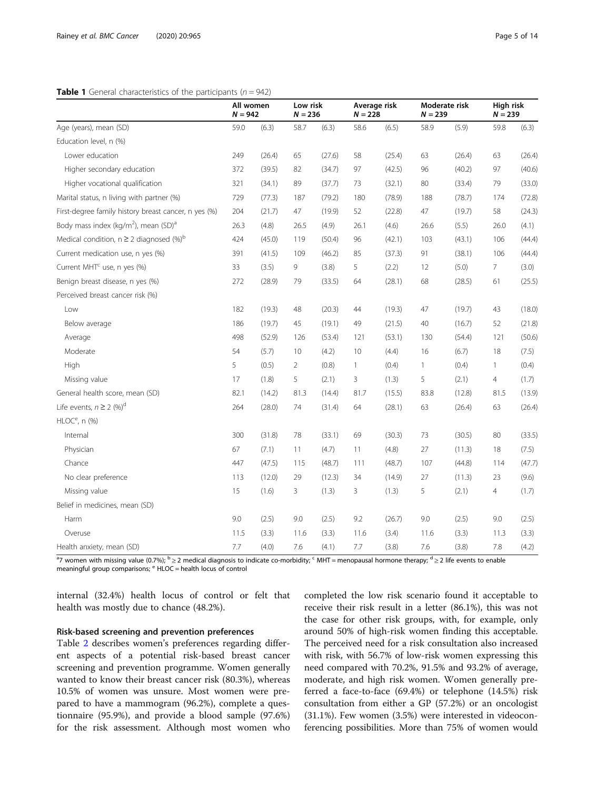# <span id="page-4-0"></span>**Table 1** General characteristics of the participants ( $n = 942$ )

|                                                              | All women<br>$N = 942$ |        | Low risk<br>$N = 236$ |        | Average risk<br>$N = 228$ |        | Moderate risk<br>$N = 239$ |        | High risk<br>$N = 239$ |        |
|--------------------------------------------------------------|------------------------|--------|-----------------------|--------|---------------------------|--------|----------------------------|--------|------------------------|--------|
| Age (years), mean (SD)                                       | 59.0                   | (6.3)  | 58.7                  | (6.3)  | 58.6                      | (6.5)  | 58.9                       | (5.9)  | 59.8                   | (6.3)  |
| Education level, n (%)                                       |                        |        |                       |        |                           |        |                            |        |                        |        |
| Lower education                                              | 249                    | (26.4) | 65                    | (27.6) | 58                        | (25.4) | 63                         | (26.4) | 63                     | (26.4) |
| Higher secondary education                                   | 372                    | (39.5) | 82                    | (34.7) | 97                        | (42.5) | 96                         | (40.2) | 97                     | (40.6) |
| Higher vocational qualification                              | 321                    | (34.1) | 89                    | (37.7) | 73                        | (32.1) | 80                         | (33.4) | 79                     | (33.0) |
| Marital status, n living with partner (%)                    | 729                    | (77.3) | 187                   | (79.2) | 180                       | (78.9) | 188                        | (78.7) | 174                    | (72.8) |
| First-degree family history breast cancer, n yes (%)         | 204                    | (21.7) | 47                    | (19.9) | 52                        | (22.8) | 47                         | (19.7) | 58                     | (24.3) |
| Body mass index (kg/m <sup>2</sup> ), mean (SD) <sup>a</sup> | 26.3                   | (4.8)  | 26.5                  | (4.9)  | 26.1                      | (4.6)  | 26.6                       | (5.5)  | 26.0                   | (4.1)  |
| Medical condition, $n \geq 2$ diagnosed (%) <sup>b</sup>     | 424                    | (45.0) | 119                   | (50.4) | 96                        | (42.1) | 103                        | (43.1) | 106                    | (44.4) |
| Current medication use, n yes (%)                            | 391                    | (41.5) | 109                   | (46.2) | 85                        | (37.3) | 91                         | (38.1) | 106                    | (44.4) |
| Current MHT <sup>c</sup> use, n yes (%)                      | 33                     | (3.5)  | 9                     | (3.8)  | 5                         | (2.2)  | 12                         | (5.0)  | 7                      | (3.0)  |
| Benign breast disease, n yes (%)                             | 272                    | (28.9) | 79                    | (33.5) | 64                        | (28.1) | 68                         | (28.5) | 61                     | (25.5) |
| Perceived breast cancer risk (%)                             |                        |        |                       |        |                           |        |                            |        |                        |        |
| Low                                                          | 182                    | (19.3) | 48                    | (20.3) | 44                        | (19.3) | 47                         | (19.7) | 43                     | (18.0) |
| Below average                                                | 186                    | (19.7) | 45                    | (19.1) | 49                        | (21.5) | 40                         | (16.7) | 52                     | (21.8) |
| Average                                                      | 498                    | (52.9) | 126                   | (53.4) | 121                       | (53.1) | 130                        | (54.4) | 121                    | (50.6) |
| Moderate                                                     | 54                     | (5.7)  | 10                    | (4.2)  | 10                        | (4.4)  | 16                         | (6.7)  | 18                     | (7.5)  |
| High                                                         | 5                      | (0.5)  | $\overline{2}$        | (0.8)  | $\mathbf{1}$              | (0.4)  | $\mathbf{1}$               | (0.4)  | $\mathbf{1}$           | (0.4)  |
| Missing value                                                | 17                     | (1.8)  | 5                     | (2.1)  | 3                         | (1.3)  | 5                          | (2.1)  | $\overline{4}$         | (1.7)  |
| General health score, mean (SD)                              | 82.1                   | (14.2) | 81.3                  | (14.4) | 81.7                      | (15.5) | 83.8                       | (12.8) | 81.5                   | (13.9) |
| Life events, $n \geq 2$ (%) <sup>d</sup>                     | 264                    | (28.0) | 74                    | (31.4) | 64                        | (28.1) | 63                         | (26.4) | 63                     | (26.4) |
| $HLOCe$ , n (%)                                              |                        |        |                       |        |                           |        |                            |        |                        |        |
| Internal                                                     | 300                    | (31.8) | 78                    | (33.1) | 69                        | (30.3) | 73                         | (30.5) | 80                     | (33.5) |
| Physician                                                    | 67                     | (7.1)  | 11                    | (4.7)  | 11                        | (4.8)  | 27                         | (11.3) | 18                     | (7.5)  |
| Chance                                                       | 447                    | (47.5) | 115                   | (48.7) | 111                       | (48.7) | 107                        | (44.8) | 114                    | (47.7) |
| No clear preference                                          | 113                    | (12.0) | 29                    | (12.3) | 34                        | (14.9) | 27                         | (11.3) | 23                     | (9.6)  |
| Missing value                                                | 15                     | (1.6)  | $\overline{3}$        | (1.3)  | 3                         | (1.3)  | 5                          | (2.1)  | $\overline{4}$         | (1.7)  |
| Belief in medicines, mean (SD)                               |                        |        |                       |        |                           |        |                            |        |                        |        |
| Harm                                                         | 9.0                    | (2.5)  | 9.0                   | (2.5)  | 9.2                       | (26.7) | 9.0                        | (2.5)  | 9.0                    | (2.5)  |
| Overuse                                                      | 11.5                   | (3.3)  | 11.6                  | (3.3)  | 11.6                      | (3.4)  | 11.6                       | (3.3)  | 11.3                   | (3.3)  |
| Health anxiety, mean (SD)                                    | 7.7                    | (4.0)  | 7.6                   | (4.1)  | 7.7                       | (3.8)  | 7.6                        | (3.8)  | 7.8                    | (4.2)  |

<sup>a</sup>7 women with missing value (0.7%); <sup>b</sup>≥2 medical diagnosis to indicate co-morbidity; <sup>c</sup> MHT = menopausal hormone therapy; <sup>d</sup> ≥ 2 life events to enable meaningful group comparisons; e HLOC = health locus of control

internal (32.4%) health locus of control or felt that health was mostly due to chance (48.2%).

# Risk-based screening and prevention preferences

Table [2](#page-5-0) describes women's preferences regarding different aspects of a potential risk-based breast cancer screening and prevention programme. Women generally wanted to know their breast cancer risk (80.3%), whereas 10.5% of women was unsure. Most women were prepared to have a mammogram (96.2%), complete a questionnaire (95.9%), and provide a blood sample (97.6%) for the risk assessment. Although most women who

completed the low risk scenario found it acceptable to receive their risk result in a letter (86.1%), this was not the case for other risk groups, with, for example, only around 50% of high-risk women finding this acceptable. The perceived need for a risk consultation also increased with risk, with 56.7% of low-risk women expressing this need compared with 70.2%, 91.5% and 93.2% of average, moderate, and high risk women. Women generally preferred a face-to-face (69.4%) or telephone (14.5%) risk consultation from either a GP (57.2%) or an oncologist (31.1%). Few women (3.5%) were interested in videoconferencing possibilities. More than 75% of women would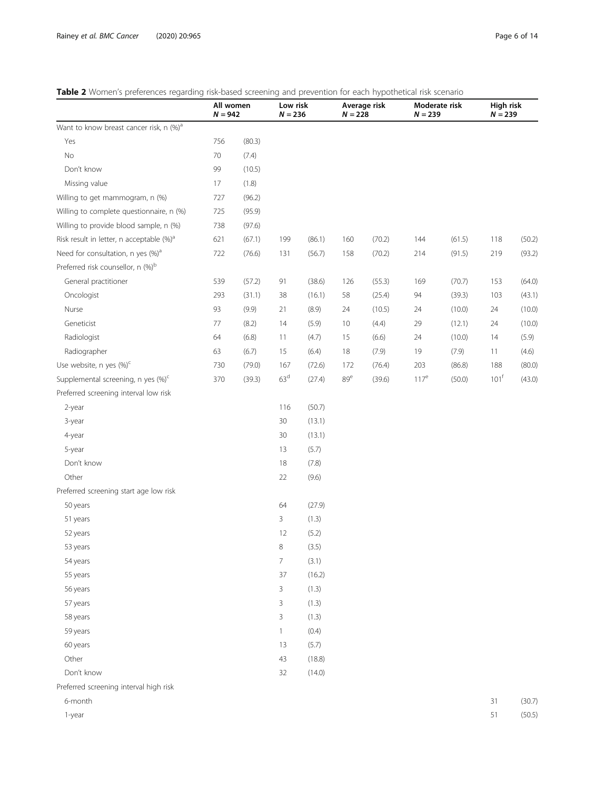# <span id="page-5-0"></span>Table 2 Women's preferences regarding risk-based screening and prevention for each hypothetical risk scenario

|                                                      | All women<br>$N = 942$ |        | Low risk<br>$N = 236$ |        | Average risk<br>$N = 228$ |        | Moderate risk<br>$N = 239$ |        | High risk<br>$N = 239$ |        |
|------------------------------------------------------|------------------------|--------|-----------------------|--------|---------------------------|--------|----------------------------|--------|------------------------|--------|
| Want to know breast cancer risk, n (%) <sup>a</sup>  |                        |        |                       |        |                           |        |                            |        |                        |        |
| Yes                                                  | 756                    | (80.3) |                       |        |                           |        |                            |        |                        |        |
| No                                                   | $70\,$                 | (7.4)  |                       |        |                           |        |                            |        |                        |        |
| Don't know                                           | 99                     | (10.5) |                       |        |                           |        |                            |        |                        |        |
| Missing value                                        | 17                     | (1.8)  |                       |        |                           |        |                            |        |                        |        |
| Willing to get mammogram, n (%)                      | 727                    | (96.2) |                       |        |                           |        |                            |        |                        |        |
| Willing to complete questionnaire, n (%)             | 725                    | (95.9) |                       |        |                           |        |                            |        |                        |        |
| Willing to provide blood sample, n (%)               | 738                    | (97.6) |                       |        |                           |        |                            |        |                        |        |
| Risk result in letter, n acceptable (%) <sup>a</sup> | 621                    | (67.1) | 199                   | (86.1) | 160                       | (70.2) | 144                        | (61.5) | 118                    | (50.2) |
| Need for consultation, n yes (%) <sup>a</sup>        | 722                    | (76.6) | 131                   | (56.7) | 158                       | (70.2) | 214                        | (91.5) | 219                    | (93.2) |
| Preferred risk counsellor, n (%) <sup>b</sup>        |                        |        |                       |        |                           |        |                            |        |                        |        |
| General practitioner                                 | 539                    | (57.2) | 91                    | (38.6) | 126                       | (55.3) | 169                        | (70.7) | 153                    | (64.0) |
| Oncologist                                           | 293                    | (31.1) | 38                    | (16.1) | 58                        | (25.4) | 94                         | (39.3) | 103                    | (43.1) |
| Nurse                                                | 93                     | (9.9)  | 21                    | (8.9)  | 24                        | (10.5) | 24                         | (10.0) | 24                     | (10.0) |
| Geneticist                                           | 77                     | (8.2)  | 14                    | (5.9)  | 10                        | (4.4)  | 29                         | (12.1) | 24                     | (10.0) |
| Radiologist                                          | 64                     | (6.8)  | 11                    | (4.7)  | 15                        | (6.6)  | 24                         | (10.0) | 14                     | (5.9)  |
| Radiographer                                         | 63                     | (6.7)  | 15                    | (6.4)  | 18                        | (7.9)  | 19                         | (7.9)  | 11                     | (4.6)  |
| Use website, n yes (%) <sup>c</sup>                  | 730                    | (79.0) | 167                   | (72.6) | 172                       | (76.4) | 203                        | (86.8) | 188                    | (80.0) |
| Supplemental screening, n yes (%) <sup>c</sup>       | 370                    | (39.3) | 63 <sup>d</sup>       | (27.4) | 89 <sup>e</sup>           | (39.6) | 117 <sup>e</sup>           | (50.0) | 101 <sup>f</sup>       | (43.0) |
| Preferred screening interval low risk                |                        |        |                       |        |                           |        |                            |        |                        |        |
| 2-year                                               |                        |        | 116                   | (50.7) |                           |        |                            |        |                        |        |
| 3-year                                               |                        |        | 30                    | (13.1) |                           |        |                            |        |                        |        |
| 4-year                                               |                        |        | 30                    | (13.1) |                           |        |                            |        |                        |        |
| 5-year                                               |                        |        | 13                    | (5.7)  |                           |        |                            |        |                        |        |
| Don't know                                           |                        |        | 18                    | (7.8)  |                           |        |                            |        |                        |        |
| Other                                                |                        |        | 22                    | (9.6)  |                           |        |                            |        |                        |        |
| Preferred screening start age low risk               |                        |        |                       |        |                           |        |                            |        |                        |        |
| 50 years                                             |                        |        | 64                    | (27.9) |                           |        |                            |        |                        |        |
| 51 years                                             |                        |        | 3                     | (1.3)  |                           |        |                            |        |                        |        |
| 52 years                                             |                        |        | 12                    | (5.2)  |                           |        |                            |        |                        |        |
| 53 years                                             |                        |        | 8                     | (3.5)  |                           |        |                            |        |                        |        |
| 54 years                                             |                        |        | $\overline{7}$        | (3.1)  |                           |        |                            |        |                        |        |
| 55 years                                             |                        |        | 37                    | (16.2) |                           |        |                            |        |                        |        |
| 56 years                                             |                        |        | 3                     | (1.3)  |                           |        |                            |        |                        |        |
| 57 years                                             |                        |        | 3                     | (1.3)  |                           |        |                            |        |                        |        |
| 58 years                                             |                        |        | 3                     | (1.3)  |                           |        |                            |        |                        |        |
| 59 years                                             |                        |        | 1                     | (0.4)  |                           |        |                            |        |                        |        |
| 60 years                                             |                        |        | 13                    | (5.7)  |                           |        |                            |        |                        |        |
| Other                                                |                        |        | 43                    | (18.8) |                           |        |                            |        |                        |        |
| Don't know                                           |                        |        | 32                    | (14.0) |                           |        |                            |        |                        |        |
| Preferred screening interval high risk               |                        |        |                       |        |                           |        |                            |        |                        |        |
| 6-month                                              |                        |        |                       |        |                           |        |                            |        | 31                     | (30.7) |
| 1-year                                               |                        |        |                       |        |                           |        |                            |        | 51                     | (50.5) |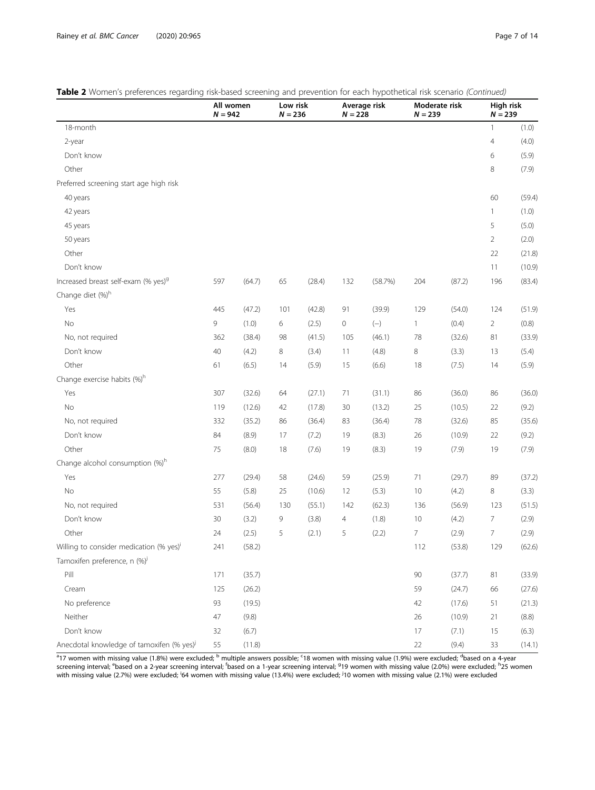|  |  |  | Table 2 Women's preferences regarding risk-based screening and prevention for each hypothetical risk scenario (Continued, |  |  |
|--|--|--|---------------------------------------------------------------------------------------------------------------------------|--|--|
|  |  |  |                                                                                                                           |  |  |

|                                                       | All women<br>$N = 942$ |        |     | Low risk<br>$N = 236$ |             | Average risk<br>$N = 228$ |                | Moderate risk<br>$N = 239$ |                | High risk<br>$N = 239$ |  |
|-------------------------------------------------------|------------------------|--------|-----|-----------------------|-------------|---------------------------|----------------|----------------------------|----------------|------------------------|--|
| 18-month                                              |                        |        |     |                       |             |                           |                |                            | 1              | (1.0)                  |  |
| 2-year                                                |                        |        |     |                       |             |                           |                |                            | $\overline{4}$ | (4.0)                  |  |
| Don't know                                            |                        |        |     |                       |             |                           |                |                            | 6              | (5.9)                  |  |
| Other                                                 |                        |        |     |                       |             |                           |                |                            | 8              | (7.9)                  |  |
| Preferred screening start age high risk               |                        |        |     |                       |             |                           |                |                            |                |                        |  |
| 40 years                                              |                        |        |     |                       |             |                           |                |                            | 60             | (59.4)                 |  |
| 42 years                                              |                        |        |     |                       |             |                           |                |                            | $\mathbf{1}$   | (1.0)                  |  |
| 45 years                                              |                        |        |     |                       |             |                           |                |                            | 5              | (5.0)                  |  |
| 50 years                                              |                        |        |     |                       |             |                           |                |                            | $\overline{2}$ | (2.0)                  |  |
| Other                                                 |                        |        |     |                       |             |                           |                |                            | 22             | (21.8)                 |  |
| Don't know                                            |                        |        |     |                       |             |                           |                |                            | 11             | (10.9)                 |  |
| Increased breast self-exam (% yes) <sup>9</sup>       | 597                    | (64.7) | 65  | (28.4)                | 132         | (58.7%)                   | 204            | (87.2)                     | 196            | (83.4)                 |  |
| Change diet (%) <sup>h</sup>                          |                        |        |     |                       |             |                           |                |                            |                |                        |  |
| Yes                                                   | 445                    | (47.2) | 101 | (42.8)                | 91          | (39.9)                    | 129            | (54.0)                     | 124            | (51.9)                 |  |
| <b>No</b>                                             | 9                      | (1.0)  | 6   | (2.5)                 | $\mathbf 0$ | $(-)$                     | $\mathbf{1}$   | (0.4)                      | $\overline{2}$ | (0.8)                  |  |
| No, not required                                      | 362                    | (38.4) | 98  | (41.5)                | 105         | (46.1)                    | 78             | (32.6)                     | 81             | (33.9)                 |  |
| Don't know                                            | 40                     | (4.2)  | 8   | (3.4)                 | 11          | (4.8)                     | 8              | (3.3)                      | 13             | (5.4)                  |  |
| Other                                                 | 61                     | (6.5)  | 14  | (5.9)                 | 15          | (6.6)                     | 18             | (7.5)                      | 14             | (5.9)                  |  |
| Change exercise habits (%) <sup>h</sup>               |                        |        |     |                       |             |                           |                |                            |                |                        |  |
| Yes                                                   | 307                    | (32.6) | 64  | (27.1)                | 71          | (31.1)                    | 86             | (36.0)                     | 86             | (36.0)                 |  |
| <b>No</b>                                             | 119                    | (12.6) | 42  | (17.8)                | 30          | (13.2)                    | 25             | (10.5)                     | 22             | (9.2)                  |  |
| No, not required                                      | 332                    | (35.2) | 86  | (36.4)                | 83          | (36.4)                    | 78             | (32.6)                     | 85             | (35.6)                 |  |
| Don't know                                            | 84                     | (8.9)  | 17  | (7.2)                 | 19          | (8.3)                     | 26             | (10.9)                     | 22             | (9.2)                  |  |
| Other                                                 | 75                     | (8.0)  | 18  | (7.6)                 | 19          | (8.3)                     | 19             | (7.9)                      | 19             | (7.9)                  |  |
| Change alcohol consumption (%) <sup>h</sup>           |                        |        |     |                       |             |                           |                |                            |                |                        |  |
| Yes                                                   | 277                    | (29.4) | 58  | (24.6)                | 59          | (25.9)                    | 71             | (29.7)                     | 89             | (37.2)                 |  |
| <b>No</b>                                             | 55                     | (5.8)  | 25  | (10.6)                | 12          | (5.3)                     | 10             | (4.2)                      | 8              | (3.3)                  |  |
| No, not required                                      | 531                    | (56.4) | 130 | (55.1)                | 142         | (62.3)                    | 136            | (56.9)                     | 123            | (51.5)                 |  |
| Don't know                                            | 30                     | (3.2)  | 9   | (3.8)                 | 4           | (1.8)                     | 10             | (4.2)                      | 7              | (2.9)                  |  |
| Other                                                 | 24                     | (2.5)  | 5   | (2.1)                 | 5           | (2.2)                     | $\overline{7}$ | (2.9)                      | $\overline{7}$ | (2.9)                  |  |
| Willing to consider medication (% yes) <sup>i</sup>   | 241                    | (58.2) |     |                       |             |                           | 112            | (53.8)                     | 129            | (62.6)                 |  |
| Tamoxifen preference, n (%) <sup>j</sup>              |                        |        |     |                       |             |                           |                |                            |                |                        |  |
| Pill                                                  | 171                    | (35.7) |     |                       |             |                           | 90             | (37.7)                     | $81\,$         | (33.9)                 |  |
| Cream                                                 | 125                    | (26.2) |     |                       |             |                           | 59             | (24.7)                     | 66             | (27.6)                 |  |
| No preference                                         | 93                     | (19.5) |     |                       |             |                           | 42             | (17.6)                     | 51             | (21.3)                 |  |
| Neither                                               | 47                     | (9.8)  |     |                       |             |                           | 26             | (10.9)                     | 21             | (8.8)                  |  |
| Don't know                                            | 32                     | (6.7)  |     |                       |             |                           | 17             | (7.1)                      | 15             | (6.3)                  |  |
| Anecdotal knowledge of tamoxifen (% yes) <sup>j</sup> | 55                     | (11.8) |     |                       |             |                           | $22\,$         | (9.4)                      | 33             | (14.1)                 |  |

<sup>a</sup>17 women with missing value (1.8%) were excluded; <sup>b</sup> multiple answers possible; <sup>c</sup>18 women with missing value (1.9%) were excluded; <sup>d</sup>based on a 4-year screening interval; <sup>e</sup>based on a 2-year screening interval; <sup>f</sup>based on a 1-year screening interval; <sup>9</sup>19 women with missing value (2.0%) were excluded; <sup>h</sup>25 women<br>with missing value (2.7%) were excluded; <sup>i</sup>64 women wi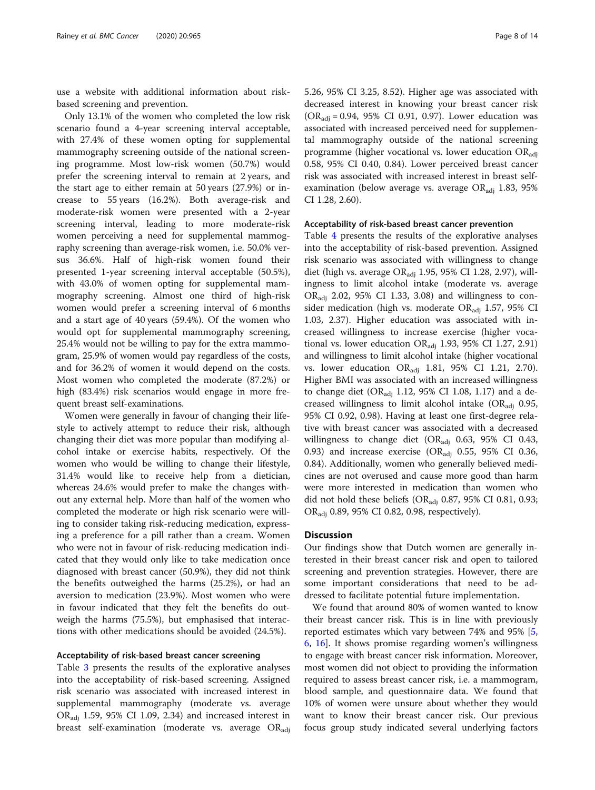use a website with additional information about riskbased screening and prevention.

Only 13.1% of the women who completed the low risk scenario found a 4-year screening interval acceptable, with 27.4% of these women opting for supplemental mammography screening outside of the national screening programme. Most low-risk women (50.7%) would prefer the screening interval to remain at 2 years, and the start age to either remain at 50 years (27.9%) or increase to 55 years (16.2%). Both average-risk and moderate-risk women were presented with a 2-year screening interval, leading to more moderate-risk women perceiving a need for supplemental mammography screening than average-risk women, i.e. 50.0% versus 36.6%. Half of high-risk women found their presented 1-year screening interval acceptable (50.5%), with 43.0% of women opting for supplemental mammography screening. Almost one third of high-risk women would prefer a screening interval of 6 months and a start age of 40 years (59.4%). Of the women who would opt for supplemental mammography screening, 25.4% would not be willing to pay for the extra mammogram, 25.9% of women would pay regardless of the costs, and for 36.2% of women it would depend on the costs. Most women who completed the moderate (87.2%) or high (83.4%) risk scenarios would engage in more frequent breast self-examinations.

Women were generally in favour of changing their lifestyle to actively attempt to reduce their risk, although changing their diet was more popular than modifying alcohol intake or exercise habits, respectively. Of the women who would be willing to change their lifestyle, 31.4% would like to receive help from a dietician, whereas 24.6% would prefer to make the changes without any external help. More than half of the women who completed the moderate or high risk scenario were willing to consider taking risk-reducing medication, expressing a preference for a pill rather than a cream. Women who were not in favour of risk-reducing medication indicated that they would only like to take medication once diagnosed with breast cancer (50.9%), they did not think the benefits outweighed the harms (25.2%), or had an aversion to medication (23.9%). Most women who were in favour indicated that they felt the benefits do outweigh the harms (75.5%), but emphasised that interactions with other medications should be avoided (24.5%).

### Acceptability of risk-based breast cancer screening

Table [3](#page-8-0) presents the results of the explorative analyses into the acceptability of risk-based screening. Assigned risk scenario was associated with increased interest in supplemental mammography (moderate vs. average  $OR_{\text{adj}}$  1.59, 95% CI 1.09, 2.34) and increased interest in breast self-examination (moderate vs. average  $OR_{\text{adj}}$  5.26, 95% CI 3.25, 8.52). Higher age was associated with decreased interest in knowing your breast cancer risk  $(OR_{\text{adi}} = 0.94, 95\% \text{ CI } 0.91, 0.97)$ . Lower education was associated with increased perceived need for supplemental mammography outside of the national screening programme (higher vocational vs. lower education  $OR_{\text{adj}}$ 0.58, 95% CI 0.40, 0.84). Lower perceived breast cancer risk was associated with increased interest in breast selfexamination (below average vs. average  $OR_{\text{adj}}$  1.83, 95% CI 1.28, 2.60).

# Acceptability of risk-based breast cancer prevention

Table [4](#page-9-0) presents the results of the explorative analyses into the acceptability of risk-based prevention. Assigned risk scenario was associated with willingness to change diet (high vs. average  $OR_{\text{adj}}$  1.95, 95% CI 1.28, 2.97), willingness to limit alcohol intake (moderate vs. average  $OR_{\text{adj}}$  2.02, 95% CI 1.33, 3.08) and willingness to consider medication (high vs. moderate  $OR_{\text{adj}}$  1.57, 95% CI 1.03, 2.37). Higher education was associated with increased willingness to increase exercise (higher vocational vs. lower education  $OR_{\text{adj}}$  1.93, 95% CI 1.27, 2.91) and willingness to limit alcohol intake (higher vocational vs. lower education  $OR_{\text{adj}}$  1.81, 95% CI 1.21, 2.70). Higher BMI was associated with an increased willingness to change diet  $(OR_{\text{adj}} 1.12, 95\% \text{ CI} 1.08, 1.17)$  and a decreased willingness to limit alcohol intake  $(OR_{\text{adi}} 0.95,$ 95% CI 0.92, 0.98). Having at least one first-degree relative with breast cancer was associated with a decreased willingness to change diet (OR<sub>adj</sub> 0.63, 95% CI 0.43, 0.93) and increase exercise (OR<sub>adj</sub> 0.55, 95% CI 0.36, 0.84). Additionally, women who generally believed medicines are not overused and cause more good than harm were more interested in medication than women who did not hold these beliefs ( $OR_{\text{adj}}$  0.87, 95% CI 0.81, 0.93; ORadj 0.89, 95% CI 0.82, 0.98, respectively).

## **Discussion**

Our findings show that Dutch women are generally interested in their breast cancer risk and open to tailored screening and prevention strategies. However, there are some important considerations that need to be addressed to facilitate potential future implementation.

We found that around 80% of women wanted to know their breast cancer risk. This is in line with previously reported estimates which vary between 74% and 95% [\[5](#page-12-0), [6,](#page-12-0) [16\]](#page-12-0). It shows promise regarding women's willingness to engage with breast cancer risk information. Moreover, most women did not object to providing the information required to assess breast cancer risk, i.e. a mammogram, blood sample, and questionnaire data. We found that 10% of women were unsure about whether they would want to know their breast cancer risk. Our previous focus group study indicated several underlying factors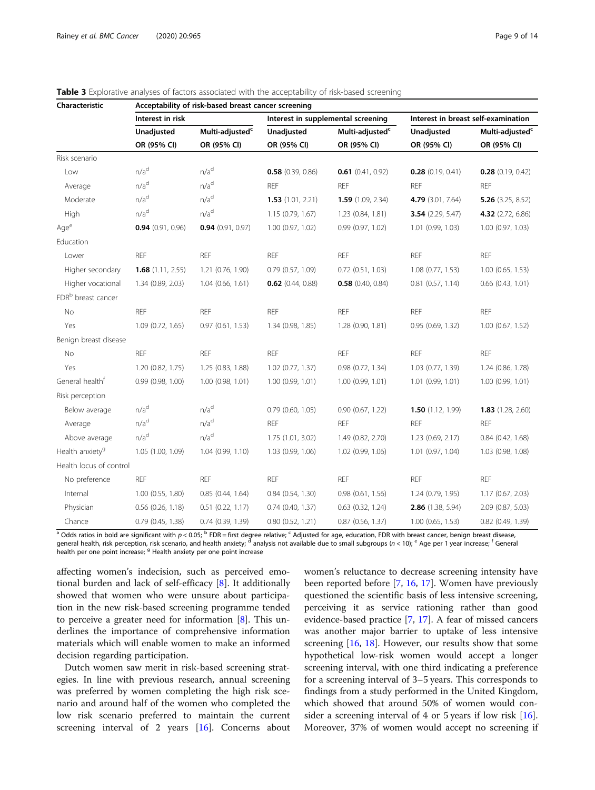| Characteristic                 | Acceptability of risk-based breast cancer screening |                             |                       |                                    |                            |                                     |  |  |  |  |  |  |
|--------------------------------|-----------------------------------------------------|-----------------------------|-----------------------|------------------------------------|----------------------------|-------------------------------------|--|--|--|--|--|--|
|                                | Interest in risk                                    |                             |                       | Interest in supplemental screening |                            | Interest in breast self-examination |  |  |  |  |  |  |
|                                | Unadjusted                                          | Multi-adjusted <sup>c</sup> | Unadjusted            | Multi-adjusted <sup>c</sup>        | Unadjusted                 | Multi-adjusted <sup>c</sup>         |  |  |  |  |  |  |
|                                | OR (95% CI)                                         | OR (95% CI)                 | OR (95% CI)           | OR (95% CI)                        | OR (95% CI)                | OR (95% CI)                         |  |  |  |  |  |  |
| Risk scenario                  |                                                     |                             |                       |                                    |                            |                                     |  |  |  |  |  |  |
| Low                            | n/a <sup>d</sup>                                    | n/a <sup>d</sup>            | $0.58$ (0.39, 0.86)   | $0.61$ (0.41, 0.92)                | $0.28$ (0.19, 0.41)        | $0.28$ (0.19, 0.42)                 |  |  |  |  |  |  |
| Average                        | n/a <sup>d</sup>                                    | n/a <sup>d</sup>            | <b>REF</b>            | <b>REF</b>                         | <b>REF</b>                 | <b>REF</b>                          |  |  |  |  |  |  |
| Moderate                       | n/a <sup>d</sup>                                    | n/a <sup>d</sup>            | 1.53(1.01, 2.21)      | 1.59(1.09, 2.34)                   | 4.79 (3.01, 7.64)          | 5.26 $(3.25, 8.52)$                 |  |  |  |  |  |  |
| High                           | n/a <sup>d</sup>                                    | n/a <sup>d</sup>            | 1.15(0.79, 1.67)      | 1.23(0.84, 1.81)                   | <b>3.54</b> $(2.29, 5.47)$ | 4.32 (2.72, 6.86)                   |  |  |  |  |  |  |
| Age <sup>e</sup>               | $0.94$ (0.91, 0.96)                                 | $0.94$ (0.91, 0.97)         | $1.00$ (0.97, 1.02)   | 0.99(0.97, 1.02)                   | 1.01 (0.99, 1.03)          | 1.00 (0.97, 1.03)                   |  |  |  |  |  |  |
| Education                      |                                                     |                             |                       |                                    |                            |                                     |  |  |  |  |  |  |
| Lower                          | <b>REF</b>                                          | <b>REF</b>                  | <b>REF</b>            | <b>REF</b>                         | <b>REF</b>                 | <b>REF</b>                          |  |  |  |  |  |  |
| Higher secondary               | <b>1.68</b> $(1.11, 2.55)$                          | 1.21 (0.76, 1.90)           | 0.79(0.57, 1.09)      | $0.72$ $(0.51, 1.03)$              | 1.08(0.77, 1.53)           | $1.00$ (0.65, 1.53)                 |  |  |  |  |  |  |
| Higher vocational              | 1.34 (0.89, 2.03)                                   | $1.04$ (0.66, 1.61)         | $0.62$ (0.44, 0.88)   | $0.58$ (0.40, 0.84)                | $0.81$ $(0.57, 1.14)$      | $0.66$ $(0.43, 1.01)$               |  |  |  |  |  |  |
| FDR <sup>b</sup> breast cancer |                                                     |                             |                       |                                    |                            |                                     |  |  |  |  |  |  |
| No                             | <b>REF</b>                                          | REF                         | <b>REF</b>            | <b>REF</b>                         | REF                        | <b>REF</b>                          |  |  |  |  |  |  |
| Yes                            | 1.09(0.72, 1.65)                                    | 0.97(0.61, 1.53)            | 1.34 (0.98, 1.85)     | 1.28(0.90, 1.81)                   | 0.95(0.69, 1.32)           | $1.00$ (0.67, 1.52)                 |  |  |  |  |  |  |
| Benign breast disease          |                                                     |                             |                       |                                    |                            |                                     |  |  |  |  |  |  |
| No                             | <b>REF</b>                                          | <b>REF</b>                  | <b>REF</b>            | <b>REF</b>                         | <b>REF</b>                 | <b>REF</b>                          |  |  |  |  |  |  |
| Yes                            | 1.20(0.82, 1.75)                                    | 1.25 (0.83, 1.88)           | $1.02$ (0.77, 1.37)   | 0.98(0.72, 1.34)                   | 1.03(0.77, 1.39)           | 1.24 (0.86, 1.78)                   |  |  |  |  |  |  |
| General health <sup>f</sup>    | 0.99 (0.98, 1.00)                                   | 1.00 (0.98, 1.01)           | 1.00 (0.99, 1.01)     | 1.00(0.99, 1.01)                   | 1.01 (0.99, 1.01)          | 1.00 (0.99, 1.01)                   |  |  |  |  |  |  |
| Risk perception                |                                                     |                             |                       |                                    |                            |                                     |  |  |  |  |  |  |
| Below average                  | n/a <sup>d</sup>                                    | n/a <sup>d</sup>            | $0.79$ (0.60, 1.05)   | 0.90(0.67, 1.22)                   | <b>1.50</b> $(1.12, 1.99)$ | 1.83(1.28, 2.60)                    |  |  |  |  |  |  |
| Average                        | n/a <sup>d</sup>                                    | n/a <sup>d</sup>            | <b>REF</b>            | <b>REF</b>                         | <b>REF</b>                 | <b>REF</b>                          |  |  |  |  |  |  |
| Above average                  | n/a <sup>d</sup>                                    | n/a <sup>d</sup>            | 1.75 (1.01, 3.02)     | 1.49 (0.82, 2.70)                  | 1.23 (0.69, 2.17)          | 0.84(0.42, 1.68)                    |  |  |  |  |  |  |
| Health anxiety <sup>9</sup>    | 1.05 (1.00, 1.09)                                   | 1.04 (0.99, 1.10)           | 1.03 (0.99, 1.06)     | 1.02 (0.99, 1.06)                  | 1.01 (0.97, 1.04)          | 1.03 (0.98, 1.08)                   |  |  |  |  |  |  |
| Health locus of control        |                                                     |                             |                       |                                    |                            |                                     |  |  |  |  |  |  |
| No preference                  | <b>REF</b>                                          | <b>REF</b>                  | <b>REF</b>            | <b>REF</b>                         | <b>REF</b>                 | <b>REF</b>                          |  |  |  |  |  |  |
| Internal                       | $1.00$ $(0.55, 1.80)$                               | 0.85(0.44, 1.64)            | $0.84$ $(0.54, 1.30)$ | 0.98(0.61, 1.56)                   | 1.24(0.79, 1.95)           | 1.17 (0.67, 2.03)                   |  |  |  |  |  |  |
| Physician                      | $0.56$ $(0.26, 1.18)$                               | $0.51$ $(0.22, 1.17)$       | $0.74$ (0.40, 1.37)   | $0.63$ $(0.32, 1.24)$              | 2.86 (1.38, 5.94)          | 2.09 (0.87, 5.03)                   |  |  |  |  |  |  |
| Chance                         | 0.79(0.45, 1.38)                                    | $0.74$ $(0.39, 1.39)$       | $0.80$ $(0.52, 1.21)$ | $0.87$ (0.56, 1.37)                | $1.00$ (0.65, 1.53)        | 0.82 (0.49, 1.39)                   |  |  |  |  |  |  |

<span id="page-8-0"></span>

| <b>Table 3</b> Explorative analyses of factors associated with the acceptability of risk-based screening |  |  |
|----------------------------------------------------------------------------------------------------------|--|--|
|----------------------------------------------------------------------------------------------------------|--|--|

 $a$  Odds ratios in bold are significant with  $p < 0.05$ ;  $b$  FDR = first degree relative; <sup>c</sup> Adjusted for age, education, FDR with breast cancer, benign breast disease, general health, risk perception, risk scenario, and health anxiety; <sup>d</sup> analysis not available due to small subgroups ( $n < 10$ );  $e^{\pi}$  Age per 1 year increase; <sup>t</sup> General health per one point increase; <sup>g</sup> Health anxiety per one point increase

affecting women's indecision, such as perceived emotional burden and lack of self-efficacy [\[8](#page-12-0)]. It additionally showed that women who were unsure about participation in the new risk-based screening programme tended to perceive a greater need for information [\[8](#page-12-0)]. This underlines the importance of comprehensive information materials which will enable women to make an informed decision regarding participation.

Dutch women saw merit in risk-based screening strategies. In line with previous research, annual screening was preferred by women completing the high risk scenario and around half of the women who completed the low risk scenario preferred to maintain the current screening interval of 2 years  $[16]$  $[16]$ . Concerns about

women's reluctance to decrease screening intensity have been reported before [[7](#page-12-0), [16](#page-12-0), [17](#page-12-0)]. Women have previously questioned the scientific basis of less intensive screening, perceiving it as service rationing rather than good evidence-based practice [\[7](#page-12-0), [17](#page-12-0)]. A fear of missed cancers was another major barrier to uptake of less intensive screening [\[16,](#page-12-0) [18](#page-13-0)]. However, our results show that some hypothetical low-risk women would accept a longer screening interval, with one third indicating a preference for a screening interval of 3–5 years. This corresponds to findings from a study performed in the United Kingdom, which showed that around 50% of women would consider a screening interval of 4 or 5 years if low risk  $[16]$  $[16]$ . Moreover, 37% of women would accept no screening if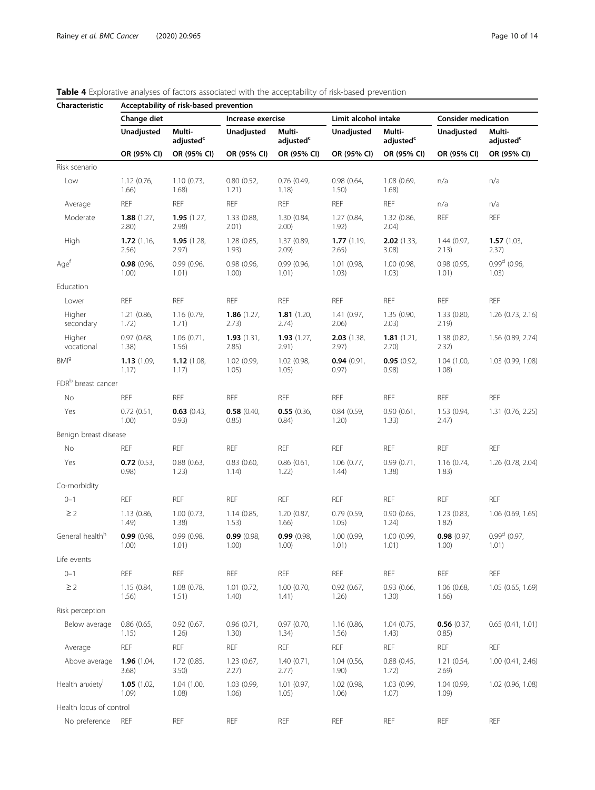| Characteristic                 | Acceptability of risk-based prevention |                                 |                        |                                 |                        |                                 |                            |                                 |  |  |  |  |
|--------------------------------|----------------------------------------|---------------------------------|------------------------|---------------------------------|------------------------|---------------------------------|----------------------------|---------------------------------|--|--|--|--|
|                                | Change diet                            |                                 | Increase exercise      |                                 | Limit alcohol intake   |                                 | <b>Consider medication</b> |                                 |  |  |  |  |
|                                | Unadjusted                             | Multi-<br>adjusted <sup>c</sup> | Unadjusted             | Multi-<br>adjusted <sup>c</sup> | Unadjusted             | Multi-<br>adjusted <sup>c</sup> | Unadjusted                 | Multi-<br>adjusted <sup>c</sup> |  |  |  |  |
|                                | OR (95% CI)                            | OR (95% CI)                     | OR (95% CI)            | OR (95% CI)                     | OR (95% CI)            | OR (95% CI)                     | OR (95% CI)                | OR (95% CI)                     |  |  |  |  |
| Risk scenario                  |                                        |                                 |                        |                                 |                        |                                 |                            |                                 |  |  |  |  |
| Low                            | 1.12(0.76,<br>1.66)                    | 1.10(0.73,<br>1.68)             | 0.80(0.52,<br>1.21)    | $0.76$ (0.49,<br>1.18)          | 0.98(0.64,<br>1.50)    | 1.08(0.69,<br>1.68)             | n/a                        | n/a                             |  |  |  |  |
| Average                        | <b>REF</b>                             | <b>REF</b>                      | <b>REF</b>             | <b>REF</b>                      | <b>REF</b>             | <b>REF</b>                      | n/a                        | n/a                             |  |  |  |  |
| Moderate                       | 1.88(1.27,<br>2.80)                    | 1.95(1.27,<br>(2.98)            | 1.33 (0.88,<br>2.01)   | 1.30 (0.84,<br>2.00)            | 1.27 (0.84,<br>1.92)   | 1.32(0.86,<br>2.04)             | <b>REF</b>                 | <b>REF</b>                      |  |  |  |  |
| High                           | 1.72(1.16,<br>2.56)                    | 1.95(1.28,<br>2.97)             | 1.28 (0.85,<br>1.93)   | 1.37 (0.89,<br>2.09)            | 1.77(1.19,<br>2.65)    | $2.02$ (1.33,<br>3.08)          | 1.44(0.97,<br>2.13)        | 1.57(1.03,<br>2.37)             |  |  |  |  |
| Age <sup>t</sup>               | 0.98(0.96,<br>1.00)                    | 0.99(0.96,<br>1.01)             | 0.98(0.96,<br>1.00)    | 0.99(0.96,<br>1.01)             | 1.01 (0.98,<br>1.03)   | 1.00 (0.98,<br>1.03)            | 0.98(0.95,<br>1.01)        | $0.99d$ (0.96,<br>1.03)         |  |  |  |  |
| Education                      |                                        |                                 |                        |                                 |                        |                                 |                            |                                 |  |  |  |  |
| Lower                          | <b>REF</b>                             | REF                             | <b>REF</b>             | <b>REF</b>                      | <b>REF</b>             | <b>REF</b>                      | <b>REF</b>                 | <b>REF</b>                      |  |  |  |  |
| Higher<br>secondary            | 1.21(0.86,<br>1.72)                    | 1.16(0.79,<br>1.71)             | 1.86(1.27,<br>2.73)    | 1.81(1.20,<br>2.74)             | 1.41 (0.97,<br>2.06)   | 1.35 (0.90,<br>2.03)            | 1.33(0.80,<br>2.19)        | 1.26 (0.73, 2.16)               |  |  |  |  |
| Higher<br>vocational           | 0.97(0.68,<br>1.38)                    | 1.06(0.71,<br>1.56)             | 1.93(1.31,<br>2.85)    | 1.93(1.27)<br>2.91)             | $2.03$ (1.38,<br>2.97) | 1.81(1.21)<br>2.70)             | 1.38 (0.82,<br>2.32)       | 1.56 (0.89, 2.74)               |  |  |  |  |
| <b>BMI</b> <sup>9</sup>        | 1.13(1.09)<br>1.17)                    | 1.12(1.08,<br>1.17)             | 1.02 (0.99,<br>1.05)   | 1.02 (0.98,<br>1.05)            | 0.94(0.91)<br>0.97)    | 0.95(0.92,<br>(0.98)            | 1.04(1.00,<br>1.08)        | 1.03 (0.99, 1.08)               |  |  |  |  |
| FDR <sup>b</sup> breast cancer |                                        |                                 |                        |                                 |                        |                                 |                            |                                 |  |  |  |  |
| No                             | <b>REF</b>                             | REF                             | <b>REF</b>             | <b>REF</b>                      | <b>REF</b>             | <b>REF</b>                      | <b>REF</b>                 | <b>REF</b>                      |  |  |  |  |
| Yes                            | 0.72(0.51,<br>1.00)                    | 0.63(0.43,<br>0.93)             | $0.58$ (0.40,<br>0.85) | 0.55(0.36,<br>0.84)             | 0.84(0.59,<br>1.20)    | 0.90(0.61,<br>1.33)             | 1.53(0.94,<br>2.47)        | $1.31$ (0.76, 2.25)             |  |  |  |  |
| Benign breast disease          |                                        |                                 |                        |                                 |                        |                                 |                            |                                 |  |  |  |  |
| No                             | REF                                    | <b>REF</b>                      | <b>REF</b>             | <b>REF</b>                      | <b>REF</b>             | <b>REF</b>                      | <b>REF</b>                 | <b>REF</b>                      |  |  |  |  |
| Yes                            | 0.72(0.53,<br>0.98)                    | 0.88(0.63,<br>1.23)             | 0.83(0.60,<br>1.14)    | 0.86(0.61,<br>1.22)             | 1.06(0.77,<br>1.44)    | 0.99(0.71,<br>1.38)             | 1.16(0.74,<br>1.83)        | 1.26 (0.78, 2.04)               |  |  |  |  |
| Co-morbidity                   |                                        |                                 |                        |                                 |                        |                                 |                            |                                 |  |  |  |  |
| $0 - 1$                        | <b>REF</b>                             | <b>REF</b>                      | <b>REF</b>             | <b>REF</b>                      | <b>REF</b>             | <b>REF</b>                      | <b>REF</b>                 | <b>REF</b>                      |  |  |  |  |
| $\geq$ 2                       | 1.13(0.86,<br>1.49)                    | 1.00(0.73,<br>1.38)             | 1.14(0.85,<br>1.53)    | 1.20 (0.87,<br>1.66)            | 0.79(0.59,<br>1.05)    | 0.90(0.65,<br>1.24)             | 1.23(0.83,<br>1.82)        | 1.06(0.69, 1.65)                |  |  |  |  |
| General health <sup>h</sup>    | 0.99(0.98,<br>1.00)                    | 0.99(0.98,<br>1.01)             | 0.99(0.98,<br>1.00)    | 0.99(0.98,<br>1.00)             | 1.00 (0.99,<br>1.01)   | 1.00 (0.99,<br>1.01)            | 0.98(0.97,<br>1.00)        | $0.99^d$ (0.97,<br>1.01)        |  |  |  |  |
| Life events                    |                                        |                                 |                        |                                 |                        |                                 |                            |                                 |  |  |  |  |
| $0 - 1$                        | REF                                    | REF                             | REF                    | REF                             | <b>REF</b>             | <b>REF</b>                      | <b>REF</b>                 | REF                             |  |  |  |  |
| $\geq$ 2                       | 1.15(0.84,<br>1.56)                    | 1.08 (0.78,<br>1.51)            | 1.01(0.72,<br>1.40)    | 1.00(0.70,<br>1.41)             | 0.92(0.67,<br>1.26)    | 0.93 (0.66,<br>1.30)            | 1.06 (0.68,<br>1.66)       | 1.05(0.65, 1.69)                |  |  |  |  |
| Risk perception                |                                        |                                 |                        |                                 |                        |                                 |                            |                                 |  |  |  |  |
| Below average                  | 0.86(0.65,<br>1.15)                    | 0.92(0.67,<br>1.26)             | 0.96(0.71,<br>1.30)    | 0.97(0.70,<br>1.34)             | 1.16 (0.86,<br>1.56)   | 1.04(0.75,<br>1.43)             | 0.56(0.37,<br>0.85)        | 0.65(0.41, 1.01)                |  |  |  |  |
| Average                        | REF                                    | REF                             | <b>REF</b>             | <b>REF</b>                      | <b>REF</b>             | <b>REF</b>                      | <b>REF</b>                 | REF                             |  |  |  |  |
| Above average                  | 1.96 $(1.04,$<br>3.68)                 | 1.72(0.85,<br>3.50)             | 1.23(0.67,<br>2.27)    | 1.40(0.71,<br>2.77)             | 1.04 (0.56,<br>1.90)   | 0.88(0.45,<br>1.72)             | 1.21(0.54,<br>2.69)        | 1.00(0.41, 2.46)                |  |  |  |  |
| Health anxiety <sup>i</sup>    | 1.05(1.02,<br>1.09)                    | 1.04(1.00,<br>1.08)             | 1.03 (0.99,<br>1.06)   | 1.01 (0.97,<br>1.05)            | 1.02 (0.98,<br>1.06)   | 1.03 (0.99,<br>1.07)            | 1.04 (0.99,<br>1.09)       | 1.02 (0.96, 1.08)               |  |  |  |  |
| Health locus of control        |                                        |                                 |                        |                                 |                        |                                 |                            |                                 |  |  |  |  |
| No preference                  | <b>REF</b>                             | <b>REF</b>                      | <b>REF</b>             | <b>REF</b>                      | <b>REF</b>             | <b>REF</b>                      | <b>REF</b>                 | <b>REF</b>                      |  |  |  |  |

# <span id="page-9-0"></span>Table 4 Explorative analyses of factors associated with the acceptability of risk-based prevention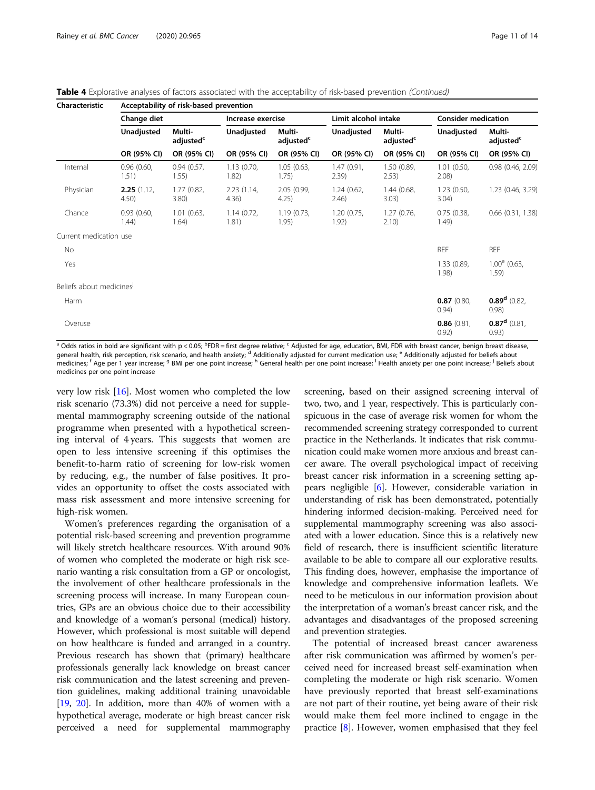Table 4 Explorative analyses of factors associated with the acceptability of risk-based prevention (Continued)

| Characteristic          |                     | Acceptability of risk-based prevention |                     |                                 |                      |                                 |                            |                                 |  |  |  |  |  |
|-------------------------|---------------------|----------------------------------------|---------------------|---------------------------------|----------------------|---------------------------------|----------------------------|---------------------------------|--|--|--|--|--|
|                         | Change diet         |                                        | Increase exercise   |                                 | Limit alcohol intake |                                 | <b>Consider medication</b> |                                 |  |  |  |  |  |
|                         | Unadjusted          | Multi-<br>adjusted <sup>c</sup>        | <b>Unadjusted</b>   | Multi-<br>adjusted <sup>c</sup> | Unadjusted           | Multi-<br>adjusted <sup>c</sup> | <b>Unadjusted</b>          | Multi-<br>adjusted <sup>c</sup> |  |  |  |  |  |
|                         | OR (95% CI)         | OR (95% CI)                            | OR (95% CI)         | OR (95% CI)                     | OR (95% CI)          | OR (95% CI)                     | OR (95% CI)                | OR (95% CI)                     |  |  |  |  |  |
| Internal                | 0.96(0.60,<br>1.51) | 0.94(0.57)<br>1.55)                    | 1.13(0.70,<br>1.82) | 1.05(0.63,<br>1.75)             | 1.47(0.91,<br>2.39)  | 1.50 (0.89,<br>2.53)            | 1.01(0.50,<br>2.08)        | 0.98(0.46, 2.09)                |  |  |  |  |  |
| Physician               | 2.25(1.12)<br>4.50  | 1.77(0.82,<br>3.80                     | 2.23(1.14,<br>4.36) | 2.05(0.99,<br>4.25)             | 1.24(0.62,<br>2.46)  | 1.44(0.68,<br>3.03)             | 1.23(0.50,<br>3.04)        | 1.23 (0.46, 3.29)               |  |  |  |  |  |
| Chance                  | 0.93(0.60,<br>1.44) | 1.01(0.63,<br>1.64)                    | 1.14(0.72,<br>1.81) | 1.19(0.73,<br>1.95)             | 1.20(0.75,<br>1.92)  | 1.27(0.76,<br>2.10)             | 0.75(0.38,<br>1.49)        | $0.66$ $(0.31, 1.38)$           |  |  |  |  |  |
| Current medication use  |                     |                                        |                     |                                 |                      |                                 |                            |                                 |  |  |  |  |  |
| No                      |                     |                                        |                     |                                 |                      |                                 | <b>REF</b>                 | <b>REF</b>                      |  |  |  |  |  |
| Yes                     |                     |                                        |                     |                                 |                      |                                 | 1.33 (0.89,<br>1.98)       | $1.00^{\circ}$ (0.63,<br>1.59)  |  |  |  |  |  |
| Beliefs about medicines |                     |                                        |                     |                                 |                      |                                 |                            |                                 |  |  |  |  |  |
| Harm                    |                     |                                        |                     |                                 |                      |                                 | 0.87(0.80.<br>0.94)        | $0.89d$ (0.82,<br>0.98)         |  |  |  |  |  |
| Overuse                 |                     |                                        |                     |                                 |                      |                                 | 0.86(0.81)<br>0.92)        | $0.87^d$ (0.81,<br>0.93)        |  |  |  |  |  |

<sup>a</sup> Odds ratios in bold are significant with p<0.05; <sup>b</sup>FDR = first degree relative; <sup>c</sup> Adjusted for age, education, BMI, FDR with breast cancer, benign breast disease, general health, risk perception, risk scenario, and health anxiety; <sup>d</sup> Additionally adjusted for current medication use; <sup>e</sup> Additionally adjusted for beliefs about medicines; <sup>f</sup> Age per 1 year increase; <sup>g</sup> BMI per one point increase; <sup>h</sup> General health per one point increase; <sup>1</sup> Health anxiety per one point increase; <sup>j</sup> Beliefs about medicines per one point increase

very low risk [[16](#page-12-0)]. Most women who completed the low risk scenario (73.3%) did not perceive a need for supplemental mammography screening outside of the national programme when presented with a hypothetical screening interval of 4 years. This suggests that women are open to less intensive screening if this optimises the benefit-to-harm ratio of screening for low-risk women by reducing, e.g., the number of false positives. It provides an opportunity to offset the costs associated with mass risk assessment and more intensive screening for high-risk women.

Women's preferences regarding the organisation of a potential risk-based screening and prevention programme will likely stretch healthcare resources. With around 90% of women who completed the moderate or high risk scenario wanting a risk consultation from a GP or oncologist, the involvement of other healthcare professionals in the screening process will increase. In many European countries, GPs are an obvious choice due to their accessibility and knowledge of a woman's personal (medical) history. However, which professional is most suitable will depend on how healthcare is funded and arranged in a country. Previous research has shown that (primary) healthcare professionals generally lack knowledge on breast cancer risk communication and the latest screening and prevention guidelines, making additional training unavoidable [[19](#page-13-0), [20\]](#page-13-0). In addition, more than 40% of women with a hypothetical average, moderate or high breast cancer risk perceived a need for supplemental mammography

screening, based on their assigned screening interval of two, two, and 1 year, respectively. This is particularly conspicuous in the case of average risk women for whom the recommended screening strategy corresponded to current practice in the Netherlands. It indicates that risk communication could make women more anxious and breast cancer aware. The overall psychological impact of receiving breast cancer risk information in a screening setting appears negligible [\[6](#page-12-0)]. However, considerable variation in understanding of risk has been demonstrated, potentially hindering informed decision-making. Perceived need for supplemental mammography screening was also associated with a lower education. Since this is a relatively new field of research, there is insufficient scientific literature available to be able to compare all our explorative results. This finding does, however, emphasise the importance of knowledge and comprehensive information leaflets. We need to be meticulous in our information provision about the interpretation of a woman's breast cancer risk, and the advantages and disadvantages of the proposed screening and prevention strategies.

The potential of increased breast cancer awareness after risk communication was affirmed by women's perceived need for increased breast self-examination when completing the moderate or high risk scenario. Women have previously reported that breast self-examinations are not part of their routine, yet being aware of their risk would make them feel more inclined to engage in the practice [[8\]](#page-12-0). However, women emphasised that they feel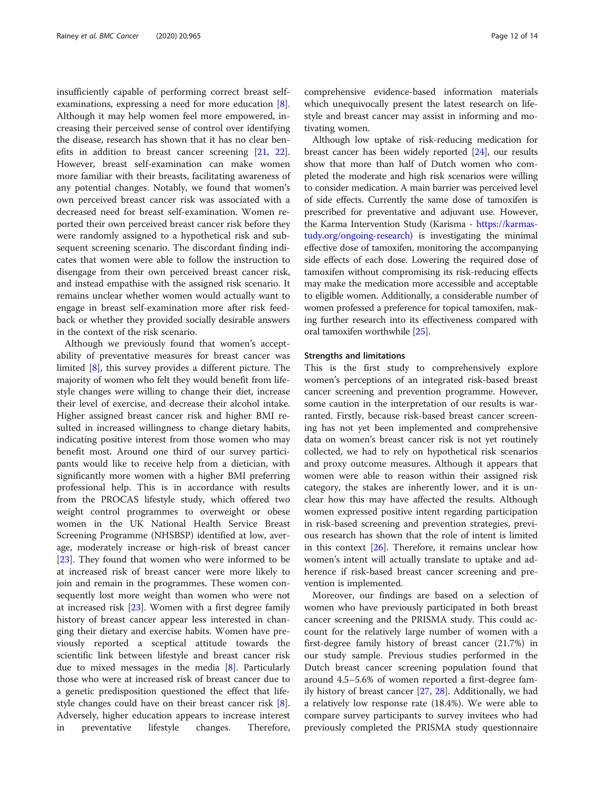insufficiently capable of performing correct breast selfexaminations, expressing a need for more education [\[8](#page-12-0)]. Although it may help women feel more empowered, increasing their perceived sense of control over identifying the disease, research has shown that it has no clear benefits in addition to breast cancer screening [[21](#page-13-0), [22](#page-13-0)]. However, breast self-examination can make women more familiar with their breasts, facilitating awareness of any potential changes. Notably, we found that women's own perceived breast cancer risk was associated with a decreased need for breast self-examination. Women reported their own perceived breast cancer risk before they were randomly assigned to a hypothetical risk and subsequent screening scenario. The discordant finding indicates that women were able to follow the instruction to disengage from their own perceived breast cancer risk, and instead empathise with the assigned risk scenario. It remains unclear whether women would actually want to engage in breast self-examination more after risk feedback or whether they provided socially desirable answers in the context of the risk scenario.

Although we previously found that women's acceptability of preventative measures for breast cancer was limited [\[8](#page-12-0)], this survey provides a different picture. The majority of women who felt they would benefit from lifestyle changes were willing to change their diet, increase their level of exercise, and decrease their alcohol intake. Higher assigned breast cancer risk and higher BMI resulted in increased willingness to change dietary habits, indicating positive interest from those women who may benefit most. Around one third of our survey participants would like to receive help from a dietician, with significantly more women with a higher BMI preferring professional help. This is in accordance with results from the PROCAS lifestyle study, which offered two weight control programmes to overweight or obese women in the UK National Health Service Breast Screening Programme (NHSBSP) identified at low, average, moderately increase or high-risk of breast cancer [[23\]](#page-13-0). They found that women who were informed to be at increased risk of breast cancer were more likely to join and remain in the programmes. These women consequently lost more weight than women who were not at increased risk [\[23\]](#page-13-0). Women with a first degree family history of breast cancer appear less interested in changing their dietary and exercise habits. Women have previously reported a sceptical attitude towards the scientific link between lifestyle and breast cancer risk due to mixed messages in the media  $[8]$  $[8]$ . Particularly those who were at increased risk of breast cancer due to a genetic predisposition questioned the effect that lifestyle changes could have on their breast cancer risk [\[8](#page-12-0)]. Adversely, higher education appears to increase interest in preventative lifestyle changes. Therefore, comprehensive evidence-based information materials which unequivocally present the latest research on lifestyle and breast cancer may assist in informing and motivating women.

Although low uptake of risk-reducing medication for breast cancer has been widely reported [\[24\]](#page-13-0), our results show that more than half of Dutch women who completed the moderate and high risk scenarios were willing to consider medication. A main barrier was perceived level of side effects. Currently the same dose of tamoxifen is prescribed for preventative and adjuvant use. However, the Karma Intervention Study (Karisma - [https://karmas](https://karmastudy.org/ongoing-research)[tudy.org/ongoing-research](https://karmastudy.org/ongoing-research)) is investigating the minimal effective dose of tamoxifen, monitoring the accompanying side effects of each dose. Lowering the required dose of tamoxifen without compromising its risk-reducing effects may make the medication more accessible and acceptable to eligible women. Additionally, a considerable number of women professed a preference for topical tamoxifen, making further research into its effectiveness compared with oral tamoxifen worthwhile [\[25\]](#page-13-0).

### Strengths and limitations

This is the first study to comprehensively explore women's perceptions of an integrated risk-based breast cancer screening and prevention programme. However, some caution in the interpretation of our results is warranted. Firstly, because risk-based breast cancer screening has not yet been implemented and comprehensive data on women's breast cancer risk is not yet routinely collected, we had to rely on hypothetical risk scenarios and proxy outcome measures. Although it appears that women were able to reason within their assigned risk category, the stakes are inherently lower, and it is unclear how this may have affected the results. Although women expressed positive intent regarding participation in risk-based screening and prevention strategies, previous research has shown that the role of intent is limited in this context [[26\]](#page-13-0). Therefore, it remains unclear how women's intent will actually translate to uptake and adherence if risk-based breast cancer screening and prevention is implemented.

Moreover, our findings are based on a selection of women who have previously participated in both breast cancer screening and the PRISMA study. This could account for the relatively large number of women with a first-degree family history of breast cancer (21.7%) in our study sample. Previous studies performed in the Dutch breast cancer screening population found that around 4.5–5.6% of women reported a first-degree family history of breast cancer [\[27](#page-13-0), [28](#page-13-0)]. Additionally, we had a relatively low response rate (18.4%). We were able to compare survey participants to survey invitees who had previously completed the PRISMA study questionnaire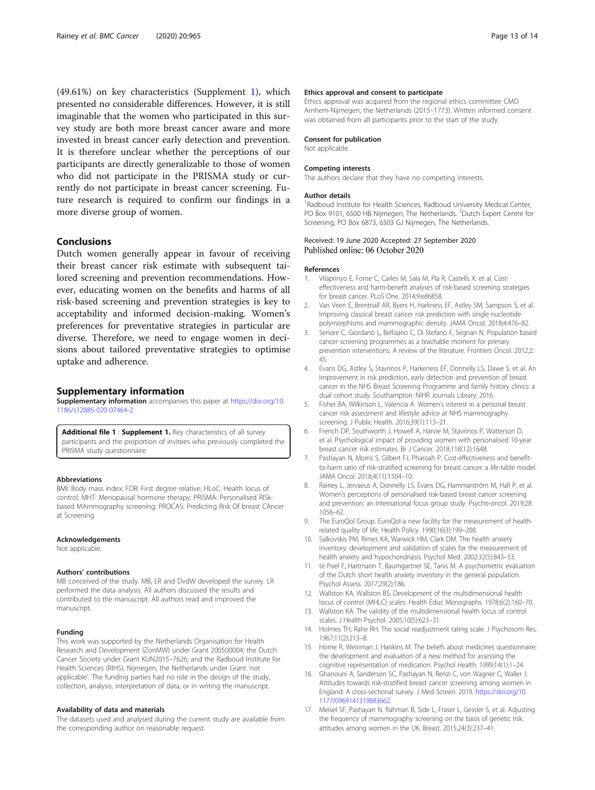<span id="page-12-0"></span>(49.61%) on key characteristics (Supplement 1), which presented no considerable differences. However, it is still imaginable that the women who participated in this survey study are both more breast cancer aware and more invested in breast cancer early detection and prevention. It is therefore unclear whether the perceptions of our participants are directly generalizable to those of women who did not participate in the PRISMA study or currently do not participate in breast cancer screening. Future research is required to confirm our findings in a more diverse group of women.

# Conclusions

Dutch women generally appear in favour of receiving their breast cancer risk estimate with subsequent tailored screening and prevention recommendations. However, educating women on the benefits and harms of all risk-based screening and prevention strategies is key to acceptability and informed decision-making. Women's preferences for preventative strategies in particular are diverse. Therefore, we need to engage women in decisions about tailored preventative strategies to optimise uptake and adherence.

### Supplementary information

Supplementary information accompanies this paper at [https://doi.org/10.](https://doi.org/10.1186/s12885-020-07464-2) [1186/s12885-020-07464-2](https://doi.org/10.1186/s12885-020-07464-2).

Additional file 1 : Supplement 1. Key characteristics of all survey participants and the proportion of invitees who previously completed the PRISMA study questionnaire

### Abbreviations

BMI: Body mass index; FDR: First degree relative; HLoC: Health locus of control; MHT: Menopausal hormone therapy; PRISMA: Personalised RISkbased MAmmography screening; PROCAS: Predicting Risk Of breast CAncer at Screening

### Acknowledgements

Not applicable.

### Authors' contributions

MB conceived of the study. MB, LR and DvdW developed the survey. LR performed the data analysis. All authors discussed the results and contributed to the manuscript. All authors read and improved the manuscript.

### Funding

This work was supported by the Netherlands Organisation for Health Research and Development (ZonMW) under Grant 200500004; the Dutch Cancer Society under Grant KUN2015–7626; and the Radboud Institute for Health Sciences (RIHS), Nijmegen, the Netherlands under Grant 'not applicable'. The funding parties had no role in the design of the study, collection, analysis, interpretation of data, or in writing the manuscript.

### Availability of data and materials

The datasets used and analysed during the current study are available from the corresponding author on reasonable request.

### Ethics approval and consent to participate

Ethics approval was acquired from the regional ethics committee CMO Arnhem-Nijmegen, the Netherlands (2015–1773). Written informed consent was obtained from all participants prior to the start of the study.

### Consent for publication

Not applicable.

### Competing interests

The authors declare that they have no competing interests.

#### Author details

<sup>1</sup>Radboud Institute for Health Sciences, Radboud University Medical Center, PO Box 9101, 6500 HB Nijmegen, The Netherlands. <sup>2</sup>Dutch Expert Centre for Screening, PO Box 6873, 6503 GJ Nijmegen, The Netherlands.

### Received: 19 June 2020 Accepted: 27 September 2020 Published online: 06 October 2020

#### References

- 1. Vilaprinyo E, Forne C, Carles M, Sala M, Pla R, Castells X, et al. Costeffectiveness and harm-benefit analyses of risk-based screening strategies for breast cancer. PLoS One. 2014;9:e86858.
- 2. Van Veen E, Brentnall AR, Byers H, Harkness EF, Astley SM, Sampson S, et al. Improving classical breast cancer risk prediction with single nucleotide polymorphisms and mammographic density. JAMA Oncol. 2018;4:476–82.
- 3. Senore C, Giordano L, Bellisario C, Di Stefano F, Segnan N. Population based cancer screening programmes as a teachable moment for primary prevention interventions. A review of the literature. Frontiers Oncol. 2012;2: 45.
- 4. Evans DG, Astley S, Stavrinos P, Harkeness EF, Donnelly LS, Dawe S, et al. An Improvement in risk prediction, early detection and prevention of breast cancer in the NHS Breast Screening Programme and family history clinics: a dual cohort study. Southampton: NIHR Journals Library; 2016.
- 5. Fisher BA, Wilkinson L, Valencia A. Women's interest in a personal breast cancer risk assessment and lifestyle advice at NHS mammography screening. J Public Health. 2016;39(1):113–21.
- 6. French DP, Southworth J, Howell A, Harvie M, Stavrinos P, Watterson D, et al. Psychological impact of providing women with personalised 10-year breast cancer risk estimates. Br J Cancer. 2018;118(12):1648.
- 7. Pashayan N, Morris S, Gilbert FJ, Pharoah P. Cost-effectiveness and benefitto-harm ratio of risk-stratified screening for breast cancer: a life-table model. JAMA Oncol. 2018;4(11):1504–10.
- 8. Rainey L, Jervaeus A, Donnelly LS, Evans DG, Hammarström M, Hall P, et al. Women's perceptions of personalised risk-based breast cancer screening and prevention: an international focus group study. Psycho-oncol. 2019;28: 1056–62.
- The EuroQol Group. EuroQol-a new facility for the measurement of healthrelated quality of life. Health Policy. 1990;16(3):199–208.
- 10. Salkovskis PM, Rimes KA, Warwick HM, Clark DM. The health anxiety inventory: development and validation of scales for the measurement of health anxiety and hypochondriasis. Psychol Med. 2002;32(5):843–53.
- 11. te Poel F, Hartmann T, Baumgartner SE, Tanis M. A psychometric evaluation of the Dutch short health anxiety inventory in the general population. Psychol Assess. 2017;29(2):186.
- 12. Wallston KA, Wallston BS. Development of the multidimensional health locus of control (MHLC) scales. Health Educ Monographs. 1978;6(2):160–70.
- 13. Wallston KA. The validity of the multidimensional health locus of control scales. J Health Psychol. 2005;10(5):623–31.
- 14. Holmes TH, Rahe RH. The social readjustment rating scale. J Psychosom Res. 1967;11(2):213–8.
- 15. Horne R, Weinman J, Hankins M. The beliefs about medicines questionnaire: the development and evaluation of a new method for assessing the cognitive representation of medication. Psychol Health. 1999;14(1):1–24.
- 16. Ghanouni A, Sanderson SC, Pashayan N, Renzi C, von Wagner C, Waller J. Attitudes towards risk-stratified breast cancer screening among women in England: A cross-sectional survey. J Med Screen. 2019. [https://doi.org/10.](https://doi.org/10.1177/0969141319883662) [1177/0969141319883662](https://doi.org/10.1177/0969141319883662).
- 17. Meisel SF, Pashayan N, Rahman B, Side L, Fraser L, Gessler S, et al. Adjusting the frequency of mammography screening on the basis of genetic risk: attitudes among women in the UK. Breast. 2015;24(3):237–41.